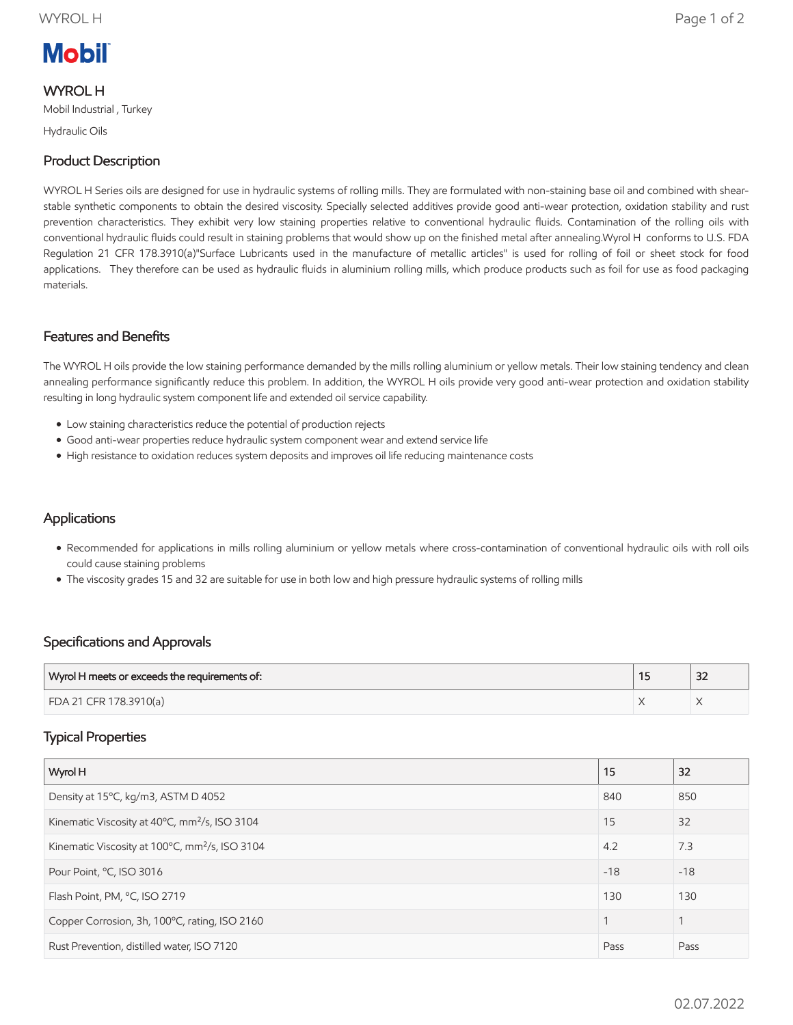# **Mobil**

# WYROL H

Mobil Industrial , Turkey

Hydraulic Oils

## Product Description

WYROL H Series oils are designed for use in hydraulic systems of rolling mills. They are formulated with non-staining base oil and combined with shearstable synthetic components to obtain the desired viscosity. Specially selected additives provide good anti-wear protection, oxidation stability and rust prevention characteristics. They exhibit very low staining properties relative to conventional hydraulic fluids. Contamination of the rolling oils with conventional hydraulic fluids could result in staining problems that would show up on the finished metal after annealing.Wyrol H conforms to U.S. FDA Regulation 21 CFR 178.3910(a)"Surface Lubricants used in the manufacture of metallic articles" is used for rolling of foil or sheet stock for food applications. They therefore can be used as hydraulic fluids in aluminium rolling mills, which produce products such as foil for use as food packaging materials.

#### Features and Benefits

The WYROL H oils provide the low staining performance demanded by the mills rolling aluminium or yellow metals. Their low staining tendency and clean annealing performance significantly reduce this problem. In addition, the WYROL H oils provide very good anti-wear protection and oxidation stability resulting in long hydraulic system component life and extended oil service capability.

- Low staining characteristics reduce the potential of production rejects
- Good anti-wear properties reduce hydraulic system component wear and extend service life
- High resistance to oxidation reduces system deposits and improves oil life reducing maintenance costs

### **Applications**

- Recommended for applications in mills rolling aluminium or yellow metals where cross-contamination of conventional hydraulic oils with roll oils could cause staining problems
- The viscosity grades 15 and 32 are suitable for use in both low and high pressure hydraulic systems of rolling mills

#### Specifications and Approvals

| Wyrol H meets or exceeds the requirements of: | $\sim$<br>ےر |
|-----------------------------------------------|--------------|
| FDA 21 CFR 178.3910(a)                        |              |

#### Typical Properties

| Wyrol H                                                    | 15    | 32    |
|------------------------------------------------------------|-------|-------|
| Density at 15°C, kg/m3, ASTM D 4052                        | 840   | 850   |
| Kinematic Viscosity at 40°C, mm <sup>2</sup> /s, ISO 3104  | 15    | 32    |
| Kinematic Viscosity at 100°C, mm <sup>2</sup> /s, ISO 3104 | 4.2   | 7.3   |
| Pour Point, °C, ISO 3016                                   | $-18$ | $-18$ |
| Flash Point, PM, °C, ISO 2719                              | 130   | 130   |
| Copper Corrosion, 3h, 100°C, rating, ISO 2160              |       |       |
| Rust Prevention, distilled water, ISO 7120                 | Pass  | Pass  |